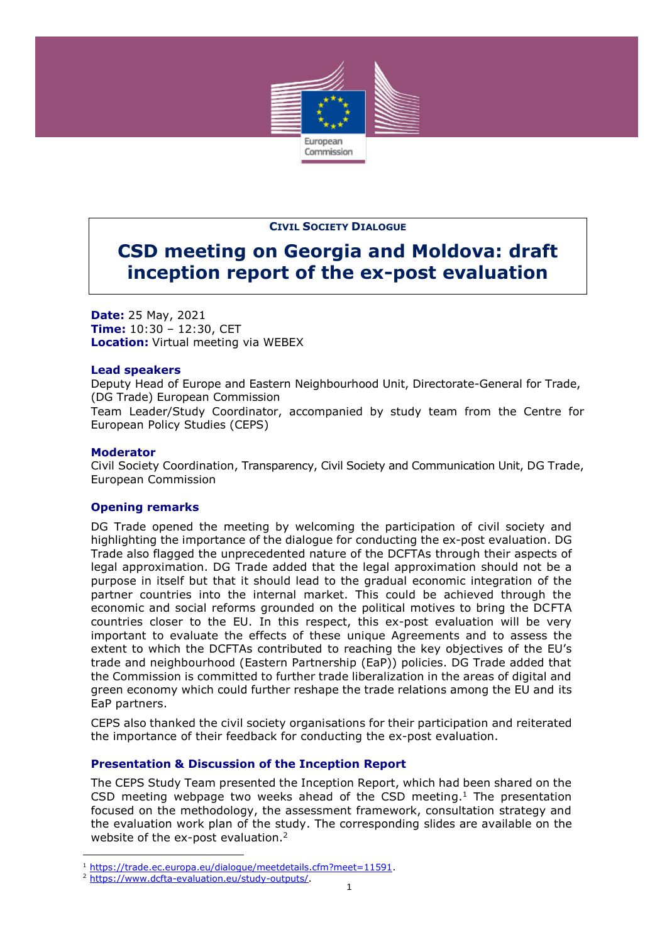

#### **CIVIL SOCIETY DIALOGUE**

# **CSD meeting on Georgia and Moldova: draft inception report of the ex-post evaluation**

**Date:** 25 May, 2021 **Time:** 10:30 – 12:30, CET **Location:** Virtual meeting via WEBEX

#### **Lead speakers**

Deputy Head of Europe and Eastern Neighbourhood Unit, Directorate-General for Trade, (DG Trade) European Commission Team Leader/Study Coordinator, accompanied by study team from the Centre for European Policy Studies (CEPS)

#### **Moderator**

j

Civil Society Coordination, Transparency, Civil Society and Communication Unit, DG Trade, European Commission

## **Opening remarks**

DG Trade opened the meeting by welcoming the participation of civil society and highlighting the importance of the dialogue for conducting the ex-post evaluation. DG Trade also flagged the unprecedented nature of the DCFTAs through their aspects of legal approximation. DG Trade added that the legal approximation should not be a purpose in itself but that it should lead to the gradual economic integration of the partner countries into the internal market. This could be achieved through the economic and social reforms grounded on the political motives to bring the DCFTA countries closer to the EU. In this respect, this ex-post evaluation will be very important to evaluate the effects of these unique Agreements and to assess the extent to which the DCFTAs contributed to reaching the key objectives of the EU's trade and neighbourhood (Eastern Partnership (EaP)) policies. DG Trade added that the Commission is committed to further trade liberalization in the areas of digital and green economy which could further reshape the trade relations among the EU and its EaP partners.

CEPS also thanked the civil society organisations for their participation and reiterated the importance of their feedback for conducting the ex-post evaluation.

## **Presentation & Discussion of the Inception Report**

The CEPS Study Team presented the Inception Report, which had been shared on the CSD meeting webpage two weeks ahead of the CSD meeting.<sup>1</sup> The presentation focused on the methodology, the assessment framework, consultation strategy and the evaluation work plan of the study. The corresponding slides are available on the website of the ex-post evaluation.<sup>2</sup>

<sup>&</sup>lt;sup>1</sup> [https://trade.ec.europa.eu/dialogue/meetdetails.cfm?meet=11591.](https://trade.ec.europa.eu/dialogue/meetdetails.cfm?meet=11591)

<sup>2</sup> [https://www.dcfta-evaluation.eu/study-outputs/.](https://www.dcfta-evaluation.eu/study-outputs/)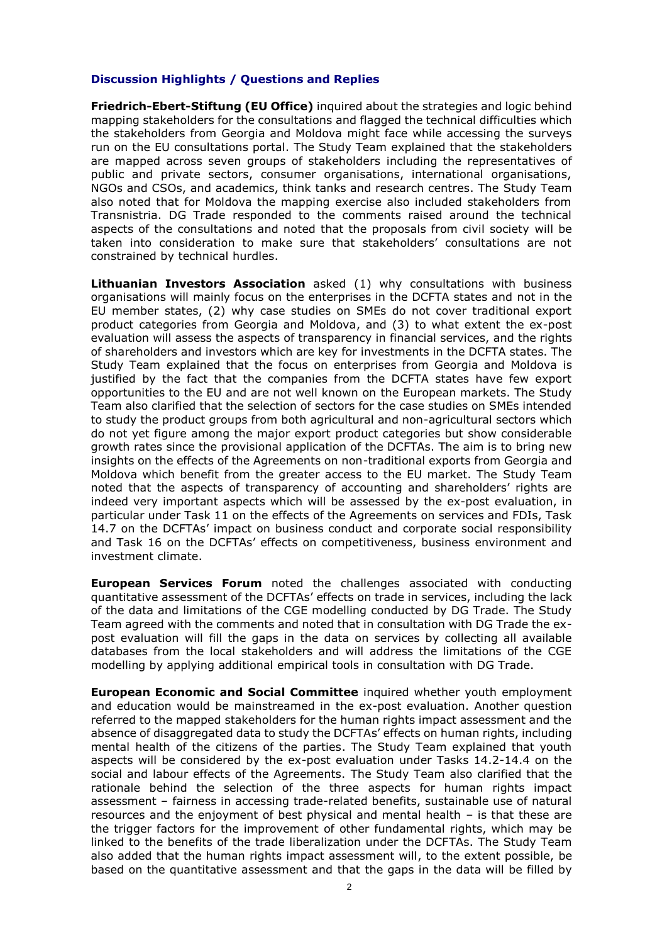### **Discussion Highlights / Questions and Replies**

**Friedrich-Ebert-Stiftung (EU Office)** inquired about the strategies and logic behind mapping stakeholders for the consultations and flagged the technical difficulties which the stakeholders from Georgia and Moldova might face while accessing the surveys run on the EU consultations portal. The Study Team explained that the stakeholders are mapped across seven groups of stakeholders including the representatives of public and private sectors, consumer organisations, international organisations, NGOs and CSOs, and academics, think tanks and research centres. The Study Team also noted that for Moldova the mapping exercise also included stakeholders from Transnistria. DG Trade responded to the comments raised around the technical aspects of the consultations and noted that the proposals from civil society will be taken into consideration to make sure that stakeholders' consultations are not constrained by technical hurdles.

**Lithuanian Investors Association** asked (1) why consultations with business organisations will mainly focus on the enterprises in the DCFTA states and not in the EU member states, (2) why case studies on SMEs do not cover traditional export product categories from Georgia and Moldova, and (3) to what extent the ex-post evaluation will assess the aspects of transparency in financial services, and the rights of shareholders and investors which are key for investments in the DCFTA states. The Study Team explained that the focus on enterprises from Georgia and Moldova is justified by the fact that the companies from the DCFTA states have few export opportunities to the EU and are not well known on the European markets. The Study Team also clarified that the selection of sectors for the case studies on SMEs intended to study the product groups from both agricultural and non-agricultural sectors which do not yet figure among the major export product categories but show considerable growth rates since the provisional application of the DCFTAs. The aim is to bring new insights on the effects of the Agreements on non-traditional exports from Georgia and Moldova which benefit from the greater access to the EU market. The Study Team noted that the aspects of transparency of accounting and shareholders' rights are indeed very important aspects which will be assessed by the ex-post evaluation, in particular under Task 11 on the effects of the Agreements on services and FDIs, Task 14.7 on the DCFTAs' impact on business conduct and corporate social responsibility and Task 16 on the DCFTAs' effects on competitiveness, business environment and investment climate.

**European Services Forum** noted the challenges associated with conducting quantitative assessment of the DCFTAs' effects on trade in services, including the lack of the data and limitations of the CGE modelling conducted by DG Trade. The Study Team agreed with the comments and noted that in consultation with DG Trade the expost evaluation will fill the gaps in the data on services by collecting all available databases from the local stakeholders and will address the limitations of the CGE modelling by applying additional empirical tools in consultation with DG Trade.

**European Economic and Social Committee** inquired whether youth employment and education would be mainstreamed in the ex-post evaluation. Another question referred to the mapped stakeholders for the human rights impact assessment and the absence of disaggregated data to study the DCFTAs' effects on human rights, including mental health of the citizens of the parties. The Study Team explained that youth aspects will be considered by the ex-post evaluation under Tasks 14.2-14.4 on the social and labour effects of the Agreements. The Study Team also clarified that the rationale behind the selection of the three aspects for human rights impact assessment – fairness in accessing trade-related benefits, sustainable use of natural resources and the enjoyment of best physical and mental health – is that these are the trigger factors for the improvement of other fundamental rights, which may be linked to the benefits of the trade liberalization under the DCFTAs. The Study Team also added that the human rights impact assessment will, to the extent possible, be based on the quantitative assessment and that the gaps in the data will be filled by